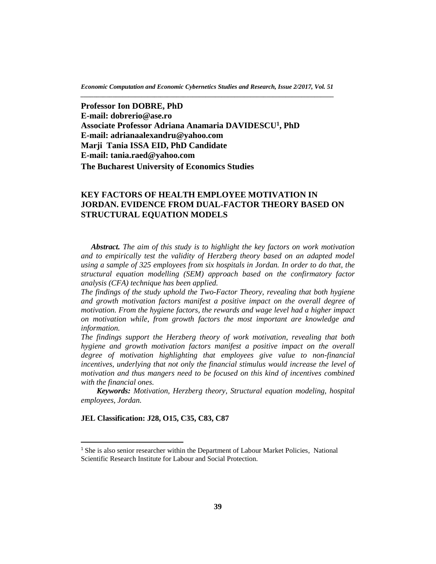*Economic Computation and Economic Cybernetics Studies and Research, Issue 2/2017, Vol. 51 \_\_\_\_\_\_\_\_\_\_\_\_\_\_\_\_\_\_\_\_\_\_\_\_\_\_\_\_\_\_\_\_\_\_\_\_\_\_\_\_\_\_\_\_\_\_\_\_\_\_\_\_\_\_\_\_\_\_\_\_\_\_\_\_\_\_\_\_\_\_\_\_\_\_\_\_\_\_\_*

**Professor Ion DOBRE, PhD E-mail: [dobrerio@ase.ro](mailto:dobrerio@ase.ro) Associate Professor Adriana Anamaria DAVIDESCU<sup>1</sup> , PhD E-mail: [adrianaalexandru@yahoo.com](mailto:adrianaalexandru@yahoo.com) Marji Tania ISSA EID, PhD Candidate E-mail: [tania.raed@yahoo.com](mailto:tania.raed@yahoo.com)  The Bucharest University of Economics Studies**

# **KEY FACTORS OF HEALTH EMPLOYEE MOTIVATION IN JORDAN. EVIDENCE FROM DUAL-FACTOR THEORY BASED ON STRUCTURAL EQUATION MODELS**

*Abstract. The aim of this study is to highlight the key factors on work motivation and to empirically test the validity of Herzberg theory based on an adapted model using a sample of 325 employees from six hospitals in Jordan. In order to do that, the structural equation modelling (SEM) approach based on the confirmatory factor analysis (CFA) technique has been applied.*

*The findings of the study uphold the Two-Factor Theory, revealing that both hygiene and growth motivation factors manifest a positive impact on the overall degree of motivation. From the hygiene factors, the rewards and wage level had a higher impact on motivation while, from growth factors the most important are knowledge and information.*

*The findings support the Herzberg theory of work motivation, revealing that both hygiene and growth motivation factors manifest a positive impact on the overall degree of motivation highlighting that employees give value to non-financial incentives, underlying that not only the financial stimulus would increase the level of motivation and thus mangers need to be focused on this kind of incentives combined with the financial ones.*

 *Keywords: Motivation, Herzberg theory, Structural equation modeling, hospital employees, Jordan.*

## **JEL Classification: J28, O15, C35, C83, C87**

 $\overline{a}$ 

<sup>&</sup>lt;sup>1</sup> She is also senior researcher within the Department of Labour Market Policies, National Scientific Research Institute for Labour and Social Protection.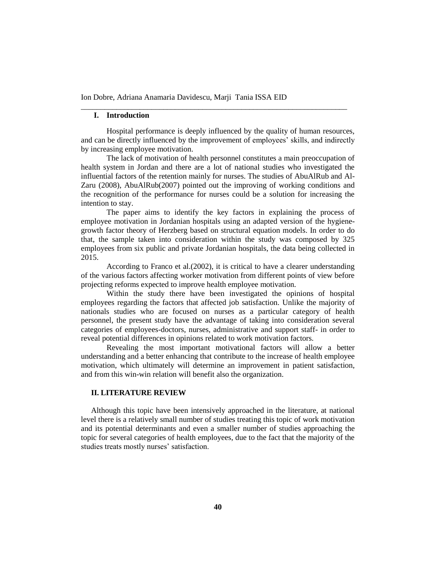## **I. Introduction**

Hospital performance is deeply influenced by the quality of human resources, and can be directly influenced by the improvement of employees' skills, and indirectly by increasing employee motivation.

\_\_\_\_\_\_\_\_\_\_\_\_\_\_\_\_\_\_\_\_\_\_\_\_\_\_\_\_\_\_\_\_\_\_\_\_\_\_\_\_\_\_\_\_\_\_\_\_\_\_\_\_\_\_\_\_\_\_\_\_\_\_\_\_\_\_\_\_

The lack of motivation of health personnel constitutes a main preoccupation of health system in Jordan and there are a lot of national studies who investigated the influential factors of the retention mainly for nurses. The studies of AbuAlRub and Al-Zaru (2008), AbuAlRub(2007) pointed out the improving of working conditions and the recognition of the performance for nurses could be a solution for increasing the intention to stay.

The paper aims to identify the key factors in explaining the process of employee motivation in Jordanian hospitals using an adapted version of the hygienegrowth factor theory of Herzberg based on structural equation models. In order to do that, the sample taken into consideration within the study was composed by 325 employees from six public and private Jordanian hospitals, the data being collected in 2015.

According to Franco et al.(2002), it is critical to have a clearer understanding of the various factors affecting worker motivation from different points of view before projecting reforms expected to improve health employee motivation.

Within the study there have been investigated the opinions of hospital employees regarding the factors that affected job satisfaction. Unlike the majority of nationals studies who are focused on nurses as a particular category of health personnel, the present study have the advantage of taking into consideration several categories of employees-doctors, nurses, administrative and support staff- in order to reveal potential differences in opinions related to work motivation factors.

Revealing the most important motivational factors will allow a better understanding and a better enhancing that contribute to the increase of health employee motivation, which ultimately will determine an improvement in patient satisfaction, and from this win-win relation will benefit also the organization.

## **II. LITERATURE REVIEW**

Although this topic have been intensively approached in the literature, at national level there is a relatively small number of studies treating this topic of work motivation and its potential determinants and even a smaller number of studies approaching the topic for several categories of health employees, due to the fact that the majority of the studies treats mostly nurses' satisfaction.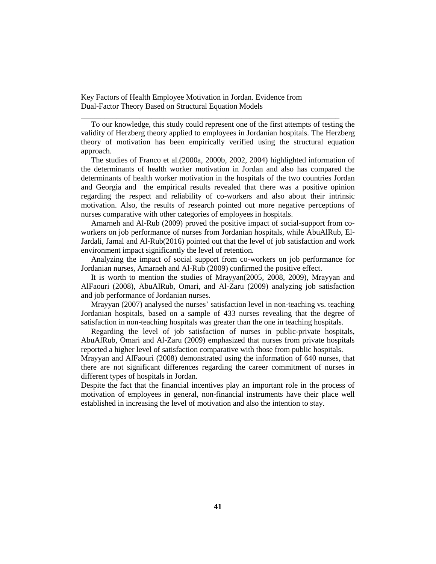To our knowledge, this study could represent one of the first attempts of testing the validity of Herzberg theory applied to employees in Jordanian hospitals. The Herzberg theory of motivation has been empirically verified using the structural equation approach.

\_\_\_\_\_\_\_\_\_\_\_\_\_\_\_\_\_\_\_\_\_\_\_\_\_\_\_\_\_\_\_\_\_\_\_\_\_\_\_\_\_\_\_\_\_\_\_\_\_\_\_\_\_\_\_\_\_\_\_\_\_\_\_\_\_\_

The studies of Franco et al.(2000a, 2000b, 2002, 2004) highlighted information of the determinants of health worker motivation in Jordan and also has compared the determinants of health worker motivation in the hospitals of the two countries Jordan and Georgia and the empirical results revealed that there was a positive opinion regarding the respect and reliability of co-workers and also about their intrinsic motivation. Also, the results of research pointed out more negative perceptions of nurses comparative with other categories of employees in hospitals.

Amarneh and Al-Rub (2009) proved the positive impact of social-support from coworkers on job performance of nurses from Jordanian hospitals, while AbuAlRub, El-Jardali, Jamal and Al-Rub(2016) pointed out that the level of job satisfaction and work environment impact significantly the level of retention.

Analyzing the impact of social support from co-workers on job performance for Jordanian nurses, Amarneh and Al-Rub (2009) confirmed the positive effect.

It is worth to mention the studies of Mrayyan(2005, 2008, 2009), Mrayyan and AlFaouri (2008), AbuAlRub, Omari, and Al-Zaru (2009) analyzing job satisfaction and job performance of Jordanian nurses.

Mrayyan (2007) analysed the nurses' satisfaction level in non-teaching vs. teaching Jordanian hospitals, based on a sample of 433 nurses revealing that the degree of satisfaction in non-teaching hospitals was greater than the one in teaching hospitals.

Regarding the level of job satisfaction of nurses in public-private hospitals, AbuAlRub, Omari and Al-Zaru (2009) emphasized that nurses from private hospitals reported a higher level of satisfaction comparative with those from public hospitals.

Mrayyan and AlFaouri (2008) demonstrated using the information of 640 nurses, that there are not significant differences regarding the career commitment of nurses in different types of hospitals in Jordan.

Despite the fact that the financial incentives play an important role in the process of motivation of employees in general, non-financial instruments have their place well established in increasing the level of motivation and also the intention to stay.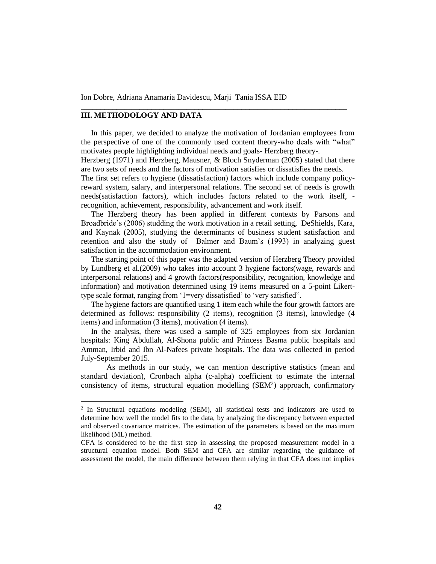# **III. METHODOLOGY AND DATA**

 $\overline{a}$ 

In this paper, we decided to analyze the motivation of Jordanian employees from the perspective of one of the commonly used content theory-who deals with "what" motivates people highlighting individual needs and goals- Herzberg theory-.

\_\_\_\_\_\_\_\_\_\_\_\_\_\_\_\_\_\_\_\_\_\_\_\_\_\_\_\_\_\_\_\_\_\_\_\_\_\_\_\_\_\_\_\_\_\_\_\_\_\_\_\_\_\_\_\_\_\_\_\_\_\_\_\_\_\_\_\_

Herzberg (1971) and Herzberg, Mausner, & Bloch Snyderman (2005) stated that there are two sets of needs and the factors of motivation satisfies or dissatisfies the needs.

The first set refers to hygiene (dissatisfaction) factors which include company policyreward system, salary, and interpersonal relations. The second set of needs is growth needs(satisfaction factors), which includes factors related to the work itself, recognition, achievement, responsibility, advancement and work itself.

The Herzberg theory has been applied in different contexts by Parsons and Broadbride's (2006) studding the work motivation in a retail setting, DeShields, Kara, and Kaynak (2005), studying the determinants of business student satisfaction and retention and also the study of Balmer and Baum's (1993) in analyzing guest satisfaction in the accommodation environment.

The starting point of this paper was the adapted version of Herzberg Theory provided by Lundberg et al.(2009) who takes into account 3 hygiene factors(wage, rewards and interpersonal relations) and 4 growth factors(responsibility, recognition, knowledge and information) and motivation determined using 19 items measured on a 5-point Likerttype scale format, ranging from '1=very dissatisfied' to 'very satisfied".

The hygiene factors are quantified using 1 item each while the four growth factors are determined as follows: responsibility (2 items), recognition (3 items), knowledge (4 items) and information (3 items), motivation (4 items).

In the analysis, there was used a sample of 325 employees from six Jordanian hospitals: King Abdullah, Al-Shona public and Princess Basma public hospitals and Amman, Irbid and Ibn Al-Nafees private hospitals. The data was collected in period July-September 2015.

As methods in our study, we can mention descriptive statistics (mean and standard deviation), Cronbach alpha (c-alpha) coefficient to estimate the internal consistency of items, structural equation modelling  $(SEM<sup>2</sup>)$  approach, confirmatory

<sup>&</sup>lt;sup>2</sup> In Structural equations modeling (SEM), all statistical tests and indicators are used to determine how well the model fits to the data, by analyzing the discrepancy between expected and observed covariance matrices. The estimation of the parameters is based on the maximum likelihood (ML) method.

CFA is considered to be the first step in assessing the proposed measurement model in a structural equation model. Both SEM and CFA are similar regarding the guidance of assessment the model, the main difference between them relying in that CFA does not implies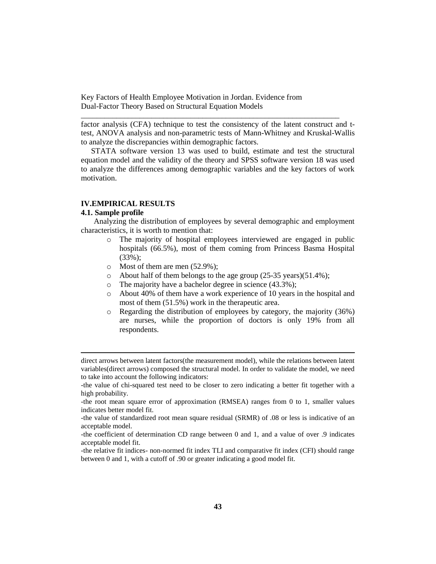factor analysis (CFA) technique to test the consistency of the latent construct and ttest, ANOVA analysis and non-parametric tests of Mann-Whitney and Kruskal-Wallis to analyze the discrepancies within demographic factors.

\_\_\_\_\_\_\_\_\_\_\_\_\_\_\_\_\_\_\_\_\_\_\_\_\_\_\_\_\_\_\_\_\_\_\_\_\_\_\_\_\_\_\_\_\_\_\_\_\_\_\_\_\_\_\_\_\_\_\_\_\_\_\_\_\_\_

STATA software version 13 was used to build, estimate and test the structural equation model and the validity of the theory and SPSS software version 18 was used to analyze the differences among demographic variables and the key factors of work motivation.

# **IV.EMPIRICAL RESULTS**

#### **4.1. Sample profile**

 $\overline{a}$ 

Analyzing the distribution of employees by several demographic and employment characteristics, it is worth to mention that:

- o The majority of hospital employees interviewed are engaged in public hospitals (66.5%), most of them coming from Princess Basma Hospital (33%);
- o Most of them are men (52.9%);
- $\circ$  About half of them belongs to the age group (25-35 years)(51.4%);
- o The majority have a bachelor degree in science (43.3%);
- o About 40% of them have a work experience of 10 years in the hospital and most of them (51.5%) work in the therapeutic area.
- o Regarding the distribution of employees by category, the majority (36%) are nurses, while the proportion of doctors is only 19% from all respondents.

direct arrows between latent factors(the measurement model), while the relations between latent variables(direct arrows) composed the structural model. In order to validate the model, we need to take into account the following indicators:

<sup>-</sup>the value of chi-squared test need to be closer to zero indicating a better fit together with a high probability.

<sup>-</sup>the root mean square error of approximation (RMSEA) ranges from 0 to 1, smaller values indicates better model fit.

<sup>-</sup>the value of standardized root mean square residual (SRMR) of .08 or less is indicative of an acceptable model.

<sup>-</sup>the coefficient of determination CD range between 0 and 1, and a value of over .9 indicates acceptable model fit.

<sup>-</sup>the relative fit indices- non-normed fit index TLI and comparative fit index (CFI) should range between 0 and 1, with a cutoff of .90 or greater indicating a good model fit.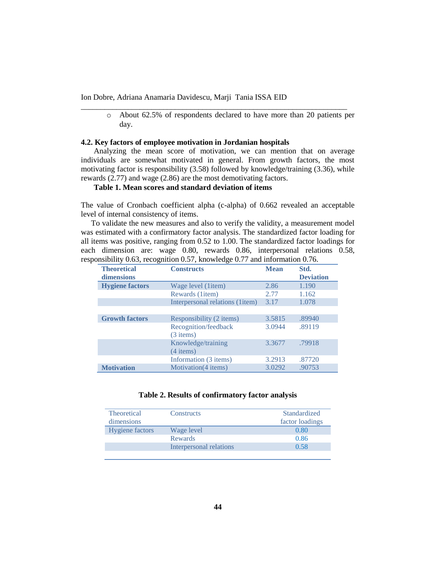o About 62.5% of respondents declared to have more than 20 patients per day.

## **4.2. Key factors of employee motivation in Jordanian hospitals**

Analyzing the mean score of motivation, we can mention that on average individuals are somewhat motivated in general. From growth factors, the most motivating factor is responsibility (3.58) followed by knowledge/training (3.36), while rewards (2.77) and wage (2.86) are the most demotivating factors.

\_\_\_\_\_\_\_\_\_\_\_\_\_\_\_\_\_\_\_\_\_\_\_\_\_\_\_\_\_\_\_\_\_\_\_\_\_\_\_\_\_\_\_\_\_\_\_\_\_\_\_\_\_\_\_\_\_\_\_\_\_\_\_\_\_\_\_\_

## **Table 1. Mean scores and standard deviation of items**

The value of Cronbach coefficient alpha (c-alpha) of 0.662 revealed an acceptable level of internal consistency of items.

To validate the new measures and also to verify the validity, a measurement model was estimated with a confirmatory factor analysis. The standardized factor loading for all items was positive, ranging from 0.52 to 1.00. The standardized factor loadings for each dimension are: wage 0.80, rewards 0.86, interpersonal relations 0.58, responsibility 0.63, recognition 0.57, knowledge 0.77 and information 0.76.

| <b>Theoretical</b><br>dimensions | <b>Constructs</b>                   | <b>Mean</b> | Std.<br><b>Deviation</b> |
|----------------------------------|-------------------------------------|-------------|--------------------------|
| <b>Hygiene factors</b>           | Wage level (litem)                  | 2.86        | 1.190                    |
|                                  | Rewards (1item)                     | 2.77        | 1.162                    |
|                                  | Interpersonal relations (1 item)    | 3.17        | 1.078                    |
|                                  |                                     |             |                          |
| <b>Growth factors</b>            | Responsibility (2 items)            | 3.5815      | .89940                   |
|                                  | Recognition/feedback<br>$(3$ items) | 3.0944      | .89119                   |
|                                  | Knowledge/training<br>$(4$ items)   | 3.3677      | .79918                   |
|                                  | Information (3 items)               | 3.2913      | .87720                   |
| <b>Motivation</b>                | Motivation (4 items)                | 3.0292      | .90753                   |

## **Table 2. Results of confirmatory factor analysis**

| Theoretical            | Constructs              | Standardized    |
|------------------------|-------------------------|-----------------|
| <i>dimensions</i>      |                         | factor loadings |
| <b>Hygiene</b> factors | Wage level              | 0.80            |
|                        | <b>Rewards</b>          | 0.86            |
|                        | Interpersonal relations | 0.58            |
|                        |                         |                 |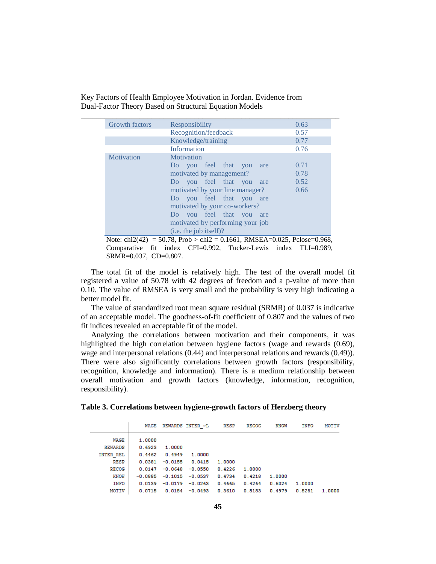| <b>Growth factors</b> | Responsibility                   | 0.63 |  |  |  |
|-----------------------|----------------------------------|------|--|--|--|
|                       | Recognition/feedback             | 0.57 |  |  |  |
|                       | Knowledge/training               | 0.77 |  |  |  |
|                       | Information                      | 0.76 |  |  |  |
| Motivation            | Motivation                       |      |  |  |  |
|                       | Do you feel that you<br>are      | 0.71 |  |  |  |
|                       | motivated by management?         | 0.78 |  |  |  |
|                       | Do you feel that you<br>are      | 0.52 |  |  |  |
|                       | motivated by your line manager?  | 0.66 |  |  |  |
|                       | Do you feel that you<br>are      |      |  |  |  |
|                       | motivated by your co-workers?    |      |  |  |  |
|                       | Do you feel that you<br>are      |      |  |  |  |
|                       | motivated by performing your job |      |  |  |  |
|                       | (i.e. the job itself)?           |      |  |  |  |

Note: chi2(42) = 50.78, Prob > chi2 = 0.1661, RMSEA=0.025, Pclose=0.968, Comparative fit index CFI=0.992, Tucker-Lewis index TLI=0.989, SRMR=0.037, CD=0.807.

The total fit of the model is relatively high. The test of the overall model fit registered a value of 50.78 with 42 degrees of freedom and a p-value of more than 0.10. The value of RMSEA is very small and the probability is very high indicating a better model fit.

The value of standardized root mean square residual (SRMR) of 0.037 is indicative of an acceptable model. The goodness-of-fit coefficient of 0.807 and the values of two fit indices revealed an acceptable fit of the model.

Analyzing the correlations between motivation and their components, it was highlighted the high correlation between hygiene factors (wage and rewards (0.69), wage and interpersonal relations (0.44) and interpersonal relations and rewards (0.49)). There were also significantly correlations between growth factors (responsibility, recognition, knowledge and information). There is a medium relationship between overall motivation and growth factors (knowledge, information, recognition, responsibility).

| Table 3. Correlations between hygiene-growth factors of Herzberg theory |  |  |  |
|-------------------------------------------------------------------------|--|--|--|
|                                                                         |  |  |  |

|                | WAGE      |           | REWARDS INTER ~L   | <b>RESP</b> | <b>RECOG</b> | KNOW   | INFO   | <b>MOTIV</b> |
|----------------|-----------|-----------|--------------------|-------------|--------------|--------|--------|--------------|
| WAGE           | 1,0000    |           |                    |             |              |        |        |              |
| <b>REWARDS</b> | 0.6923    | 1.0000    |                    |             |              |        |        |              |
| INTER REL      | 0.4462    | 0.4949    | 1.0000             |             |              |        |        |              |
| RESP           | 0.0381    | $-0.0155$ | 0.0415             | 1.0000      |              |        |        |              |
| RECOG          | 0.0147    | $-0.0648$ | $-0.0550$          | 0.4226      | 1.0000       |        |        |              |
| KNOW           | $-0.0885$ |           | $-0.1015 - 0.0537$ | 0.4734      | 0.4218       | 1.0000 |        |              |
| INFO           | 0.0139    | $-0.0179$ | $-0.0263$          | 0.4665      | 0.4264       | 0.6024 | 1.0000 |              |
| MOTIV          | 0.0715    | 0.0154    | $-0.0493$          | 0.3610      | 0.5153       | 0.4979 | 0.5281 | 1.0000       |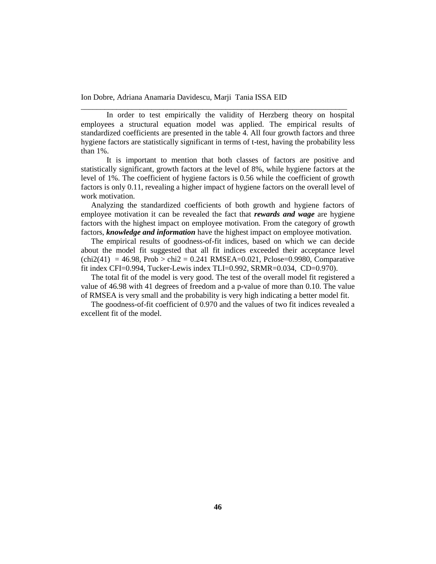In order to test empirically the validity of Herzberg theory on hospital employees a structural equation model was applied. The empirical results of standardized coefficients are presented in the table 4. All four growth factors and three hygiene factors are statistically significant in terms of t-test, having the probability less than 1%.

\_\_\_\_\_\_\_\_\_\_\_\_\_\_\_\_\_\_\_\_\_\_\_\_\_\_\_\_\_\_\_\_\_\_\_\_\_\_\_\_\_\_\_\_\_\_\_\_\_\_\_\_\_\_\_\_\_\_\_\_\_\_\_\_\_\_\_\_

It is important to mention that both classes of factors are positive and statistically significant, growth factors at the level of 8%, while hygiene factors at the level of 1%. The coefficient of hygiene factors is 0.56 while the coefficient of growth factors is only 0.11, revealing a higher impact of hygiene factors on the overall level of work motivation.

Analyzing the standardized coefficients of both growth and hygiene factors of employee motivation it can be revealed the fact that *rewards and wage* are hygiene factors with the highest impact on employee motivation. From the category of growth factors, *knowledge and information* have the highest impact on employee motivation.

The empirical results of goodness-of-fit indices, based on which we can decide about the model fit suggested that all fit indices exceeded their acceptance level  $chi2(41) = 46.98$ ,  $Prob > chi2 = 0.241$  RMSEA=0.021, Pclose=0.9980, Comparative fit index CFI=0.994, Tucker-Lewis index TLI=0.992, SRMR=0.034, CD=0.970).

The total fit of the model is very good. The test of the overall model fit registered a value of 46.98 with 41 degrees of freedom and a p-value of more than 0.10. The value of RMSEA is very small and the probability is very high indicating a better model fit.

The goodness-of-fit coefficient of 0.970 and the values of two fit indices revealed a excellent fit of the model.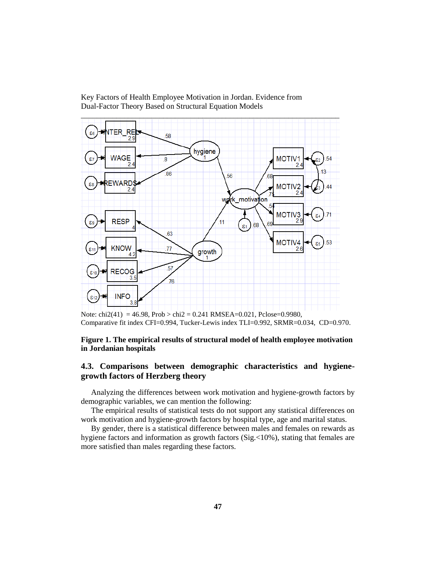

Comparative fit index CFI=0.994, Tucker-Lewis index TLI=0.992, SRMR=0.034, CD=0.970.

## **Figure 1. The empirical results of structural model of health employee motivation in Jordanian hospitals**

# **4.3. Comparisons between demographic characteristics and hygienegrowth factors of Herzberg theory**

Analyzing the differences between work motivation and hygiene-growth factors by demographic variables, we can mention the following:

The empirical results of statistical tests do not support any statistical differences on work motivation and hygiene-growth factors by hospital type, age and marital status.

By gender, there is a statistical difference between males and females on rewards as hygiene factors and information as growth factors  $(Sig. <10\%)$ , stating that females are more satisfied than males regarding these factors.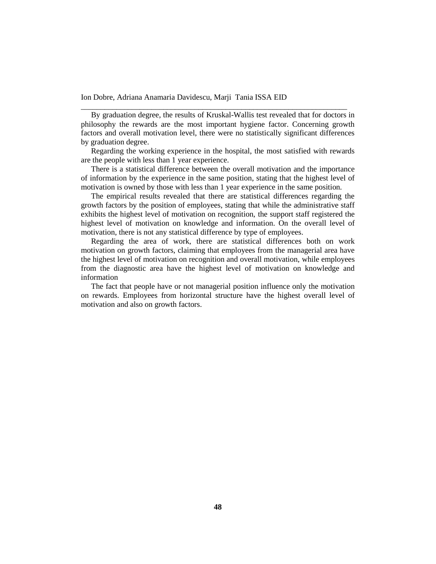By graduation degree, the results of Kruskal-Wallis test revealed that for doctors in philosophy the rewards are the most important hygiene factor. Concerning growth factors and overall motivation level, there were no statistically significant differences by graduation degree.

\_\_\_\_\_\_\_\_\_\_\_\_\_\_\_\_\_\_\_\_\_\_\_\_\_\_\_\_\_\_\_\_\_\_\_\_\_\_\_\_\_\_\_\_\_\_\_\_\_\_\_\_\_\_\_\_\_\_\_\_\_\_\_\_\_\_\_\_

Regarding the working experience in the hospital, the most satisfied with rewards are the people with less than 1 year experience.

There is a statistical difference between the overall motivation and the importance of information by the experience in the same position, stating that the highest level of motivation is owned by those with less than 1 year experience in the same position.

The empirical results revealed that there are statistical differences regarding the growth factors by the position of employees, stating that while the administrative staff exhibits the highest level of motivation on recognition, the support staff registered the highest level of motivation on knowledge and information. On the overall level of motivation, there is not any statistical difference by type of employees.

Regarding the area of work, there are statistical differences both on work motivation on growth factors, claiming that employees from the managerial area have the highest level of motivation on recognition and overall motivation, while employees from the diagnostic area have the highest level of motivation on knowledge and information

The fact that people have or not managerial position influence only the motivation on rewards. Employees from horizontal structure have the highest overall level of motivation and also on growth factors.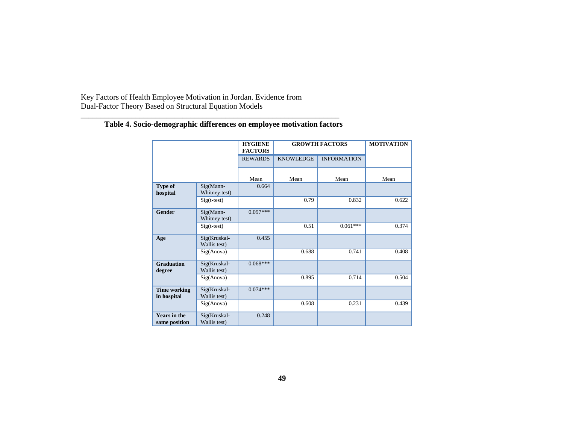|                                      |                              | <b>HYGIENE</b><br><b>FACTORS</b> | <b>GROWTH FACTORS</b> | <b>MOTIVATION</b>  |       |
|--------------------------------------|------------------------------|----------------------------------|-----------------------|--------------------|-------|
|                                      |                              | <b>REWARDS</b>                   | <b>KNOWLEDGE</b>      | <b>INFORMATION</b> |       |
|                                      |                              | Mean                             | Mean                  | Mean               | Mean  |
| Type of<br>hospital                  | Sig(Mann-<br>Whitney test)   | 0.664                            |                       |                    |       |
|                                      | $Sig(t-test)$                |                                  | 0.79                  | 0.832              | 0.622 |
| <b>Gender</b>                        | Sig(Mann-<br>Whitney test)   | $0.097***$                       |                       |                    |       |
|                                      | $Sig(t-test)$                |                                  | 0.51                  | $0.061***$         | 0.374 |
| Age                                  | Sig(Kruskal-<br>Wallis test) | 0.455                            |                       |                    |       |
|                                      | Sig(Anova)                   |                                  | 0.688                 | 0.741              | 0.408 |
| <b>Graduation</b><br>degree          | Sig(Kruskal-<br>Wallis test) | $0.068***$                       |                       |                    |       |
|                                      | Sig(Anova)                   |                                  | 0.895                 | 0.714              | 0.504 |
| <b>Time working</b><br>in hospital   | Sig(Kruskal-<br>Wallis test) | $0.074***$                       |                       |                    |       |
|                                      | Sig(Anova)                   |                                  | 0.608                 | 0.231              | 0.439 |
| <b>Years in the</b><br>same position | Sig(Kruskal-<br>Wallis test) | 0.248                            |                       |                    |       |

# **Table 4. Socio-demographic differences on employee motivation factors**

\_\_\_\_\_\_\_\_\_\_\_\_\_\_\_\_\_\_\_\_\_\_\_\_\_\_\_\_\_\_\_\_\_\_\_\_\_\_\_\_\_\_\_\_\_\_\_\_\_\_\_\_\_\_\_\_\_\_\_\_\_\_\_\_\_\_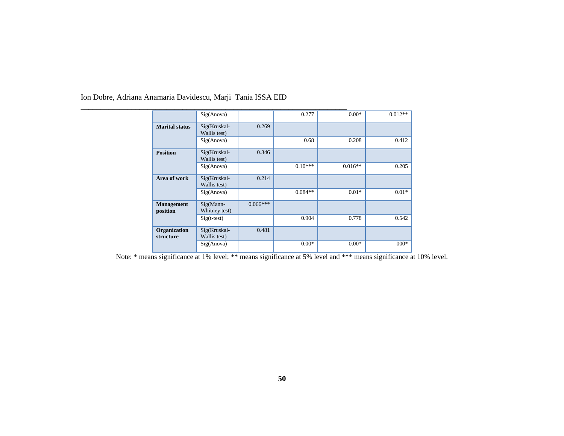|                               | $\overline{Sig(Anova)}$      |            | 0.277     | $0.00*$   | $0.012**$ |
|-------------------------------|------------------------------|------------|-----------|-----------|-----------|
| <b>Marital status</b>         | Sig(Kruskal-<br>Wallis test) | 0.269      |           |           |           |
|                               | Sig(Anova)                   |            | 0.68      | 0.208     | 0.412     |
| <b>Position</b>               | Sig(Kruskal-<br>Wallis test) | 0.346      |           |           |           |
|                               | Sig(Anova)                   |            | $0.10***$ | $0.016**$ | 0.205     |
| Area of work                  | Sig(Kruskal-<br>Wallis test) | 0.214      |           |           |           |
|                               | Sig(Anova)                   |            | $0.084**$ | $0.01*$   | $0.01*$   |
| <b>Management</b><br>position | $Sig(Mann-$<br>Whitney test) | $0.066***$ |           |           |           |
|                               | $Sig(t-test)$                |            | 0.904     | 0.778     | 0.542     |
| Organization<br>structure     | Sig(Kruskal-<br>Wallis test) | 0.481      |           |           |           |
|                               | Sig(Anova)                   |            | $0.00*$   | $0.00*$   | $000*$    |

Note: \* means significance at 1% level; \*\* means significance at 5% level and \*\*\* means significance at 10% level.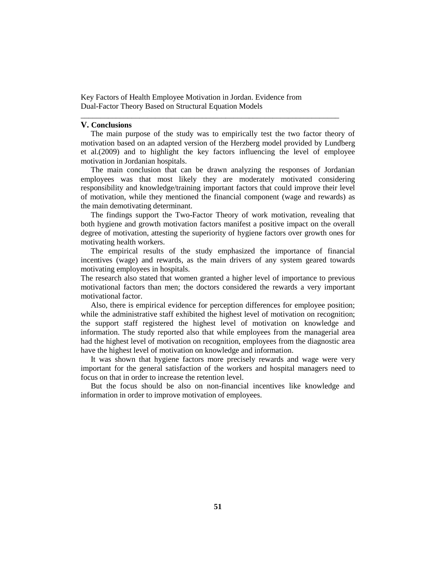## **V. Conclusions**

The main purpose of the study was to empirically test the two factor theory of motivation based on an adapted version of the Herzberg model provided by Lundberg et al.(2009) and to highlight the key factors influencing the level of employee motivation in Jordanian hospitals.

\_\_\_\_\_\_\_\_\_\_\_\_\_\_\_\_\_\_\_\_\_\_\_\_\_\_\_\_\_\_\_\_\_\_\_\_\_\_\_\_\_\_\_\_\_\_\_\_\_\_\_\_\_\_\_\_\_\_\_\_\_\_\_\_\_\_

The main conclusion that can be drawn analyzing the responses of Jordanian employees was that most likely they are moderately motivated considering responsibility and knowledge/training important factors that could improve their level of motivation, while they mentioned the financial component (wage and rewards) as the main demotivating determinant.

The findings support the Two-Factor Theory of work motivation, revealing that both hygiene and growth motivation factors manifest a positive impact on the overall degree of motivation, attesting the superiority of hygiene factors over growth ones for motivating health workers.

The empirical results of the study emphasized the importance of financial incentives (wage) and rewards, as the main drivers of any system geared towards motivating employees in hospitals.

The research also stated that women granted a higher level of importance to previous motivational factors than men; the doctors considered the rewards a very important motivational factor.

Also, there is empirical evidence for perception differences for employee position; while the administrative staff exhibited the highest level of motivation on recognition; the support staff registered the highest level of motivation on knowledge and information. The study reported also that while employees from the managerial area had the highest level of motivation on recognition, employees from the diagnostic area have the highest level of motivation on knowledge and information.

It was shown that hygiene factors more precisely rewards and wage were very important for the general satisfaction of the workers and hospital managers need to focus on that in order to increase the retention level.

But the focus should be also on non-financial incentives like knowledge and information in order to improve motivation of employees.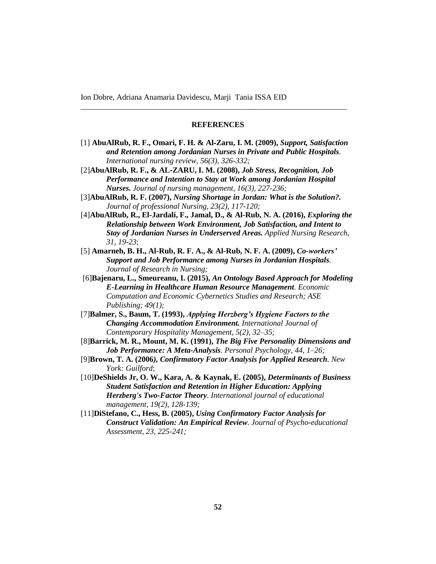#### **REFERENCES**

\_\_\_\_\_\_\_\_\_\_\_\_\_\_\_\_\_\_\_\_\_\_\_\_\_\_\_\_\_\_\_\_\_\_\_\_\_\_\_\_\_\_\_\_\_\_\_\_\_\_\_\_\_\_\_\_\_\_\_\_\_\_\_\_\_\_\_\_

- [1] **AbuAlRub, R. F., Omari, F. H. & Al**‐**Zaru, I. M. (2009),** *Support, Satisfaction and Retention among Jordanian Nurses in Private and Public Hospitals. International nursing review, 56(3), 326-332;*
- [2]**AbuAlRub, R. F., & AL**‐**ZARU, I. M. (2008),** *Job Stress, Recognition, Job Performance and Intention to Stay at Work among Jordanian Hospital Nurses. Journal of nursing management, 16(3), 227-236;*
- [3]**AbuAlRub, R. F. (2007),** *Nursing Shortage in Jordan: What is the Solution?. Journal of professional Nursing, 23(2), 117-120;*
- [4]**AbuAlRub, R., El-Jardali, F., Jamal, D., & Al-Rub, N. A. (2016),** *Exploring the Relationship between Work Environment, Job Satisfaction, and Intent to Stay of Jordanian Nurses in Underserved Areas. Applied Nursing Research, 31, 19-23*;
- [5] **Amarneh, B. H., Al-Rub, R. F. A., & Al-Rub, N. F. A. (2009),** *Co-workers' Support and Job Performance among Nurses in Jordanian Hospitals. Journal of Research in Nursing;*
- [6]**Bajenaru, L., Smeureanu, I. (2015),** *An Ontology Based Approach for Modeling E-Learning in Healthcare Human Resource Management. Economic Computation and Economic Cybernetics Studies and Research; ASE Publishing; 49(1);*
- [7]**Balmer, S., Baum, T. (1993),** *Applying Herzberg's Hygiene Factors to the Changing Accommodation Environment. International Journal of Contemporary Hospitality Management, 5(2), 32–35;*
- [8]**Barrick, M. R., Mount, M. K. (1991),** *The Big Five Personality Dimensions and Job Performance: A Meta-Analysis. Personal Psychology, 44, 1–26;*
- [9]**Brown, T. A. (2006***), Confirmatory Factor Analysis for Applied Research. New York: Guilford*;
- [10]**DeShields Jr, O. W., Kara, A. & Kaynak, E. (2005),** *Determinants of Business Student Satisfaction and Retention in Higher Education: Applying Herzberg's Two-Factor Theory. International journal of educational management, 19(2), 128-139;*
- [11]**DiStefano, C., Hess, B. (2005),** *Using Confirmatory Factor Analysis for Construct Validation: An Empirical Review. Journal of Psycho-educational Assessment, 23, 225-241;*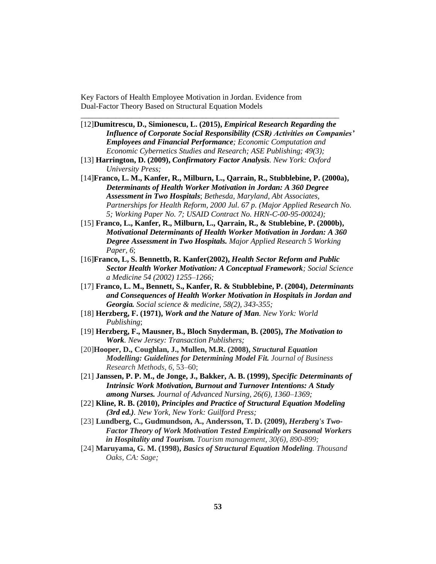[12]**Dumitrescu, D., Simionescu, L. (2015),** *Empirical Research Regarding the Influence of Corporate Social Responsibility (CSR) Activities on Companies' Employees and Financial Performance; Economic Computation and Economic Cybernetics Studies and Research; ASE Publishing; 49(3);*

\_\_\_\_\_\_\_\_\_\_\_\_\_\_\_\_\_\_\_\_\_\_\_\_\_\_\_\_\_\_\_\_\_\_\_\_\_\_\_\_\_\_\_\_\_\_\_\_\_\_\_\_\_\_\_\_\_\_\_\_\_\_\_\_\_\_

- [13] **Harrington, D. (2009),** *Confirmatory Factor Analysis. New York: Oxford University Press;*
- [14]**Franco, L. M., Kanfer, R., Milburn, L., Qarrain, R., Stubblebine, P. (2000a),** *Determinants of Health Worker Motivation in Jordan: A 360 Degree Assessment in Two Hospitals*; *Bethesda, Maryland, Abt Associates, Partnerships for Health Reform, 2000 Jul. 67 p. (Major Applied Research No. 5; Working Paper No. 7; USAID Contract No. HRN-C-00-95-00024);*
- [15] **Franco, L., Kanfer, R., Milburn, L., Qarrain, R., & Stublebine, P. (2000b),** *Motivational Determinants of Health Worker Motivation in Jordan: A 360 Degree Assessment in Two Hospitals. Major Applied Research 5 Working Paper, 6*;
- [16]**Franco, L, S. Bennettb, R. Kanfer(2002),** *Health Sector Reform and Public Sector Health Worker Motivation: A Conceptual Framework; Social Science a Medicine 54 (2002) 1255–1266;*
- [17] **Franco, L. M., Bennett, S., Kanfer, R. & Stubblebine, P. (2004),** *Determinants and Consequences of Health Worker Motivation in Hospitals in Jordan and Georgia. Social science & medicine, 58(2), 343-355;*
- [18] **Herzberg, F. (1971),** *Work and the Nature of Man. New York: World Publishing*;
- [19] **Herzberg, F., Mausner, B., Bloch Snyderman, B. (2005),** *The Motivation to Work. New Jersey: Transaction Publishers;*
- [20]**Hooper, D., Coughlan, J., Mullen, M.R. (2008),** *Structural Equation Modelling: Guidelines for Determining Model Fit. Journal of Business Research Methods*, *6*, 53–60;
- [21] **Janssen, P. P. M., de Jonge, J., Bakker, A. B. (1999),** *Specific Determinants of Intrinsic Work Motivation, Burnout and Turnover Intentions: A Study among Nurses. Journal of Advanced Nursing, 26(6), 1360–1369;*
- [22] **Kline, R. B. (2010),** *Principles and Practice of Structural Equation Modeling (3rd ed.). New York, New York: Guilford Press;*
- [23] **Lundberg, C., Gudmundson, A., Andersson, T. D. (2009),** *Herzberg's Two-Factor Theory of Work Motivation Tested Empirically on Seasonal Workers in Hospitality and Tourism. Tourism management, 30(6), 890-899;*
- [24] **Maruyama, G. M. (1998),** *Basics of Structural Equation Modeling. Thousand Oaks, CA: Sage;*